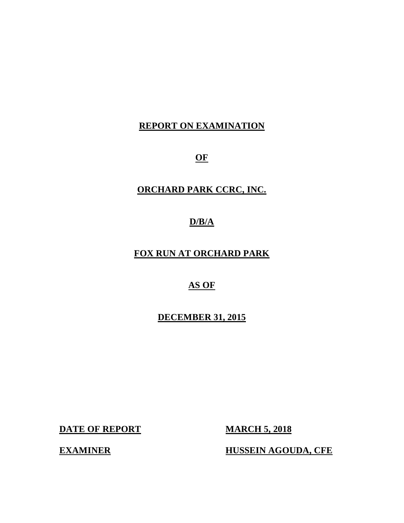## **REPORT ON EXAMINATION**

**OF** 

## **ORCHARD PARK CCRC, INC.**

## **D/B/A**

## **FOX RUN AT ORCHARD PARK**

## **AS OF**

## **DECEMBER 31, 2015**

**DATE OF REPORT MARCH 5, 2018** 

**EXAMINER** 

**HUSSEIN AGOUDA, CFE**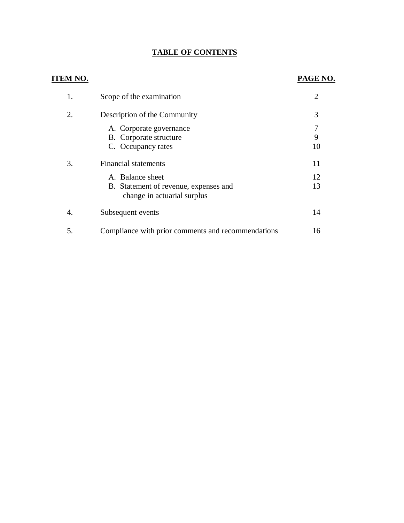#### **TABLE OF CONTENTS**

#### **ITEM NO.**  1. Scope of the examination 2. Description of the Community A. Corporate governance B. Corporate structure C. Occupancy rates 3. Financial statements A. Balance sheet B. Statement of revenue, expenses and change in actuarial surplus 4. Subsequent events 5. Compliance with prior comments and recommendations **PAGE NO.**  2 3 7 9 10 11 12 13 14 16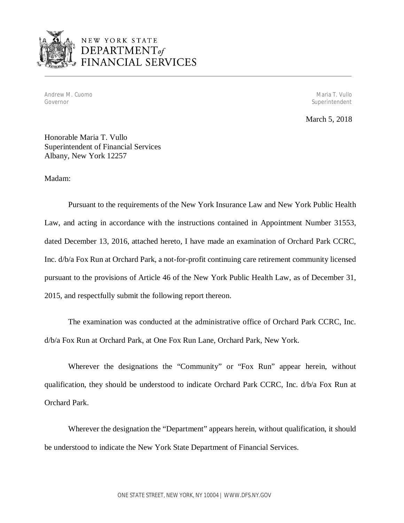

 Andrew M. Cuomo Governor

Maria T. Vullo Superintendent

March 5, 2018

 Honorable Maria T. Vullo Superintendent of Financial Services Albany, New York 12257

Madam:

 Pursuant to the requirements of the New York Insurance Law and New York Public Health Law, and acting in accordance with the instructions contained in Appointment Number 31553, dated December 13, 2016, attached hereto, I have made an examination of Orchard Park CCRC, Inc. d/b/a Fox Run at Orchard Park, a not-for-profit continuing care retirement community licensed pursuant to the provisions of Article 46 of the New York Public Health Law, as of December 31, 2015, and respectfully submit the following report thereon.

 The examination was conducted at the administrative office of Orchard Park CCRC, Inc. d/b/a Fox Run at Orchard Park, at One Fox Run Lane, Orchard Park, New York.

 Wherever the designations the "Community" or "Fox Run" appear herein, without qualification, they should be understood to indicate Orchard Park CCRC, Inc. d/b/a Fox Run at Orchard Park.

 Wherever the designation the "Department" appears herein, without qualification, it should be understood to indicate the New York State Department of Financial Services.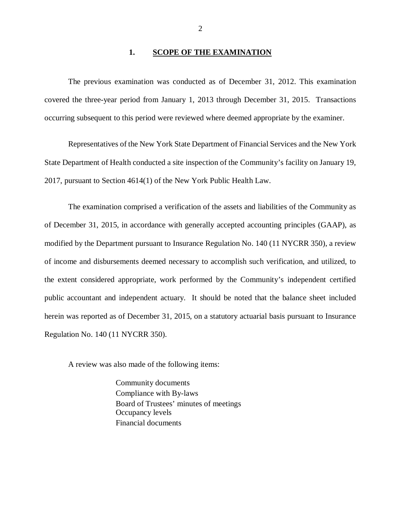#### **1. SCOPE OF THE EXAMINATION**

 covered the three-year period from January 1, 2013 through December 31, 2015. Transactions occurring subsequent to this period were reviewed where deemed appropriate by the examiner. The previous examination was conducted as of December 31, 2012. This examination

 Representatives of the New York State Department of Financial Services and the New York State Department of Health conducted a site inspection of the Community's facility on January 19, 2017, pursuant to Section 4614(1) of the New York Public Health Law.

 The examination comprised a verification of the assets and liabilities of the Community as of December 31, 2015, in accordance with generally accepted accounting principles (GAAP), as modified by the Department pursuant to Insurance Regulation No. 140 (11 NYCRR 350), a review of income and disbursements deemed necessary to accomplish such verification, and utilized, to the extent considered appropriate, work performed by the Community's independent certified public accountant and independent actuary. It should be noted that the balance sheet included herein was reported as of December 31, 2015, on a statutory actuarial basis pursuant to Insurance Regulation No. 140 (11 NYCRR 350).

A review was also made of the following items:

 Community documents Compliance with By-laws Board of Trustees' minutes of meetings Occupancy levels Financial documents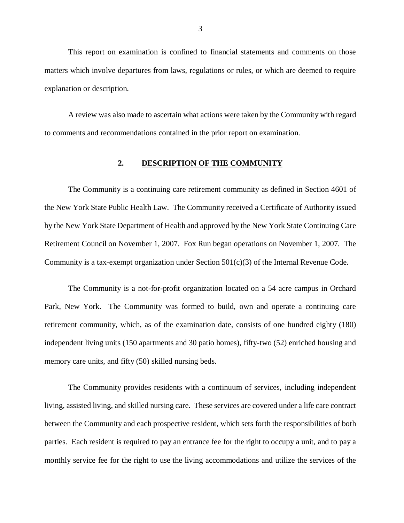matters which involve departures from laws, regulations or rules, or which are deemed to require explanation or description. This report on examination is confined to financial statements and comments on those

 A review was also made to ascertain what actions were taken by the Community with regard to comments and recommendations contained in the prior report on examination.

#### **2. DESCRIPTION OF THE COMMUNITY**

 The Community is a continuing care retirement community as defined in Section 4601 of the New York State Public Health Law. The Community received a Certificate of Authority issued by the New York State Department of Health and approved by the New York State Continuing Care Retirement Council on November 1, 2007. Fox Run began operations on November 1, 2007. The Community is a tax-exempt organization under Section  $501(c)(3)$  of the Internal Revenue Code.

 The Community is a not-for-profit organization located on a 54 acre campus in Orchard Park, New York. The Community was formed to build, own and operate a continuing care retirement community, which, as of the examination date, consists of one hundred eighty (180) independent living units (150 apartments and 30 patio homes), fifty-two (52) enriched housing and memory care units, and fifty (50) skilled nursing beds.

 The Community provides residents with a continuum of services, including independent living, assisted living, and skilled nursing care. These services are covered under a life care contract between the Community and each prospective resident, which sets forth the responsibilities of both parties. Each resident is required to pay an entrance fee for the right to occupy a unit, and to pay a monthly service fee for the right to use the living accommodations and utilize the services of the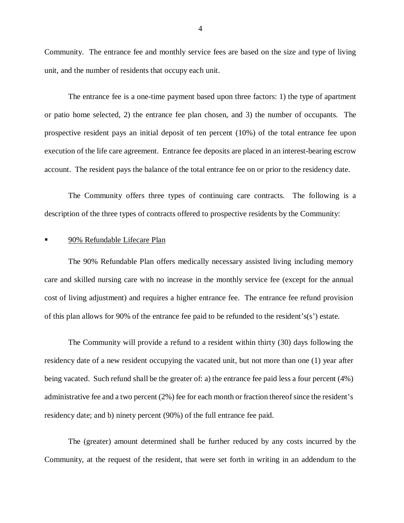Community. The entrance fee and monthly service fees are based on the size and type of living unit, and the number of residents that occupy each unit.

 The entrance fee is a one-time payment based upon three factors: 1) the type of apartment or patio home selected, 2) the entrance fee plan chosen, and 3) the number of occupants. The prospective resident pays an initial deposit of ten percent (10%) of the total entrance fee upon execution of the life care agreement. Entrance fee deposits are placed in an interest-bearing escrow account. The resident pays the balance of the total entrance fee on or prior to the residency date.

 The Community offers three types of continuing care contracts. The following is a description of the three types of contracts offered to prospective residents by the Community:

#### **90% Refundable Lifecare Plan**

 The 90% Refundable Plan offers medically necessary assisted living including memory care and skilled nursing care with no increase in the monthly service fee (except for the annual cost of living adjustment) and requires a higher entrance fee. The entrance fee refund provision of this plan allows for 90% of the entrance fee paid to be refunded to the resident's(s') estate.

 residency date of a new resident occupying the vacated unit, but not more than one (1) year after being vacated. Such refund shall be the greater of: a) the entrance fee paid less a four percent (4%) administrative fee and a two percent (2%) fee for each month or fraction thereof since the resident's residency date; and b) ninety percent (90%) of the full entrance fee paid. The Community will provide a refund to a resident within thirty (30) days following the

 The (greater) amount determined shall be further reduced by any costs incurred by the Community, at the request of the resident, that were set forth in writing in an addendum to the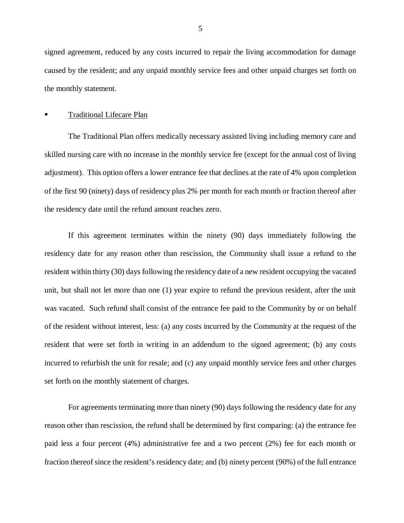signed agreement, reduced by any costs incurred to repair the living accommodation for damage caused by the resident; and any unpaid monthly service fees and other unpaid charges set forth on the monthly statement.

#### **Traditional Lifecare Plan**

 The Traditional Plan offers medically necessary assisted living including memory care and skilled nursing care with no increase in the monthly service fee (except for the annual cost of living adjustment). This option offers a lower entrance fee that declines at the rate of 4% upon completion of the first 90 (ninety) days of residency plus 2% per month for each month or fraction thereof after the residency date until the refund amount reaches zero.

 If this agreement terminates within the ninety (90) days immediately following the residency date for any reason other than rescission, the Community shall issue a refund to the resident within thirty (30) days following the residency date of a new resident occupying the vacated unit, but shall not let more than one (1) year expire to refund the previous resident, after the unit was vacated. Such refund shall consist of the entrance fee paid to the Community by or on behalf of the resident without interest, less: (a) any costs incurred by the Community at the request of the resident that were set forth in writing in an addendum to the signed agreement; (b) any costs incurred to refurbish the unit for resale; and (c) any unpaid monthly service fees and other charges set forth on the monthly statement of charges.

 For agreements terminating more than ninety (90) days following the residency date for any reason other than rescission, the refund shall be determined by first comparing: (a) the entrance fee paid less a four percent (4%) administrative fee and a two percent (2%) fee for each month or fraction thereof since the resident's residency date; and (b) ninety percent (90%) of the full entrance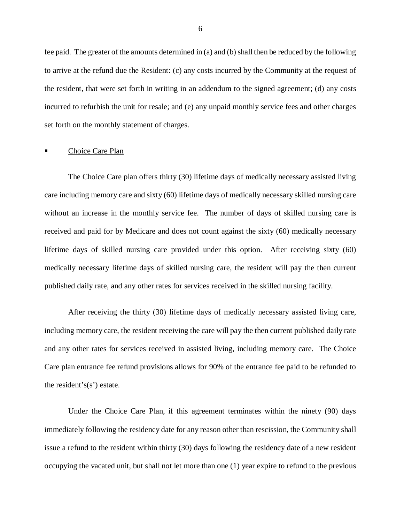fee paid. The greater of the amounts determined in (a) and (b) shall then be reduced by the following to arrive at the refund due the Resident: (c) any costs incurred by the Community at the request of the resident, that were set forth in writing in an addendum to the signed agreement; (d) any costs incurred to refurbish the unit for resale; and (e) any unpaid monthly service fees and other charges set forth on the monthly statement of charges.

#### Choice Care Plan

 The Choice Care plan offers thirty (30) lifetime days of medically necessary assisted living care including memory care and sixty (60) lifetime days of medically necessary skilled nursing care without an increase in the monthly service fee. The number of days of skilled nursing care is received and paid for by Medicare and does not count against the sixty (60) medically necessary lifetime days of skilled nursing care provided under this option. After receiving sixty (60) medically necessary lifetime days of skilled nursing care, the resident will pay the then current published daily rate, and any other rates for services received in the skilled nursing facility.

 After receiving the thirty (30) lifetime days of medically necessary assisted living care, including memory care, the resident receiving the care will pay the then current published daily rate and any other rates for services received in assisted living, including memory care. The Choice Care plan entrance fee refund provisions allows for 90% of the entrance fee paid to be refunded to the resident's(s') estate.

 Under the Choice Care Plan, if this agreement terminates within the ninety (90) days immediately following the residency date for any reason other than rescission, the Community shall issue a refund to the resident within thirty (30) days following the residency date of a new resident occupying the vacated unit, but shall not let more than one (1) year expire to refund to the previous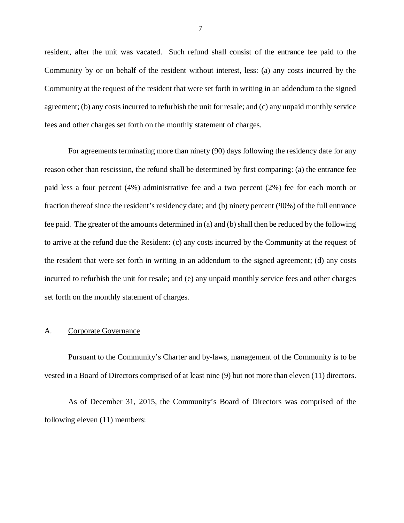resident, after the unit was vacated. Such refund shall consist of the entrance fee paid to the Community by or on behalf of the resident without interest, less: (a) any costs incurred by the Community at the request of the resident that were set forth in writing in an addendum to the signed agreement; (b) any costs incurred to refurbish the unit for resale; and (c) any unpaid monthly service fees and other charges set forth on the monthly statement of charges.

 For agreements terminating more than ninety (90) days following the residency date for any reason other than rescission, the refund shall be determined by first comparing: (a) the entrance fee paid less a four percent (4%) administrative fee and a two percent (2%) fee for each month or fraction thereof since the resident's residency date; and (b) ninety percent (90%) of the full entrance fee paid. The greater of the amounts determined in (a) and (b) shall then be reduced by the following to arrive at the refund due the Resident: (c) any costs incurred by the Community at the request of the resident that were set forth in writing in an addendum to the signed agreement; (d) any costs incurred to refurbish the unit for resale; and (e) any unpaid monthly service fees and other charges set forth on the monthly statement of charges.

#### A. Corporate Governance

 Pursuant to the Community's Charter and by-laws, management of the Community is to be vested in a Board of Directors comprised of at least nine (9) but not more than eleven (11) directors.

 As of December 31, 2015, the Community's Board of Directors was comprised of the following eleven (11) members: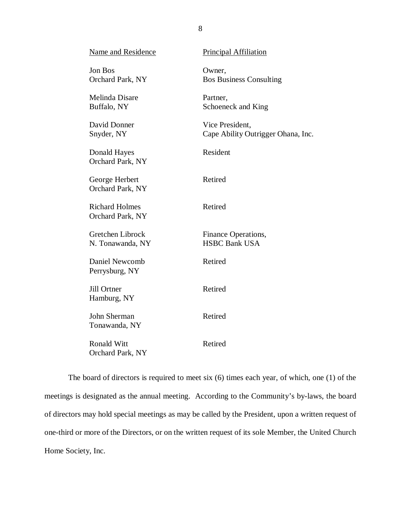| <b>Name and Residence</b>                     | <b>Principal Affiliation</b>                          |
|-----------------------------------------------|-------------------------------------------------------|
| Jon Bos<br>Orchard Park, NY                   | Owner,<br><b>Bos Business Consulting</b>              |
| Melinda Disare<br>Buffalo, NY                 | Partner,<br>Schoeneck and King                        |
| David Donner<br>Snyder, NY                    | Vice President,<br>Cape Ability Outrigger Ohana, Inc. |
| Donald Hayes<br>Orchard Park, NY              | Resident                                              |
| George Herbert<br>Orchard Park, NY            | Retired                                               |
| <b>Richard Holmes</b><br>Orchard Park, NY     | Retired                                               |
| Gretchen Librock<br>N. Tonawanda, NY          | Finance Operations,<br><b>HSBC Bank USA</b>           |
| Daniel Newcomb<br>Perrysburg, NY              | Retired                                               |
| Jill Ortner<br>Hamburg, NY                    | Retired                                               |
| John Sherman<br>Tonawanda, NY                 | Retired                                               |
| <b>Ronald Witt</b><br><b>Orchard Park, NY</b> | Retired                                               |

 The board of directors is required to meet six (6) times each year, of which, one (1) of the meetings is designated as the annual meeting. According to the Community's by-laws, the board of directors may hold special meetings as may be called by the President, upon a written request of one-third or more of the Directors, or on the written request of its sole Member, the United Church Home Society, Inc.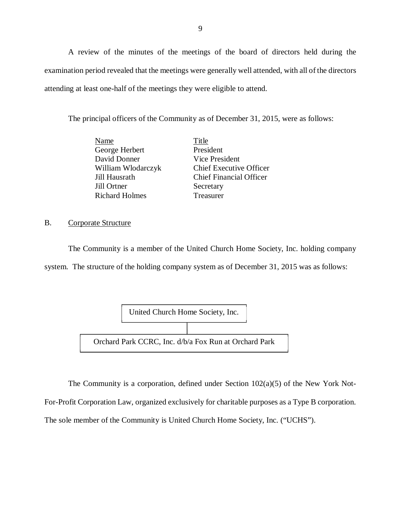A review of the minutes of the meetings of the board of directors held during the examination period revealed that the meetings were generally well attended, with all of the directors attending at least one-half of the meetings they were eligible to attend.

The principal officers of the Community as of December 31, 2015, were as follows:

| Name                  | Title                          |
|-----------------------|--------------------------------|
| George Herbert        | President                      |
| David Donner          | Vice President                 |
| William Wlodarczyk    | <b>Chief Executive Officer</b> |
| Jill Hausrath         | <b>Chief Financial Officer</b> |
| Jill Ortner           | Secretary                      |
| <b>Richard Holmes</b> | Treasurer                      |

#### B. Corporate Structure

 The Community is a member of the United Church Home Society, Inc. holding company system. The structure of the holding company system as of December 31, 2015 was as follows:



 For-Profit Corporation Law, organized exclusively for charitable purposes as a Type B corporation. The sole member of the Community is United Church Home Society, Inc. ("UCHS"). The Community is a corporation, defined under Section 102(a)(5) of the New York Not-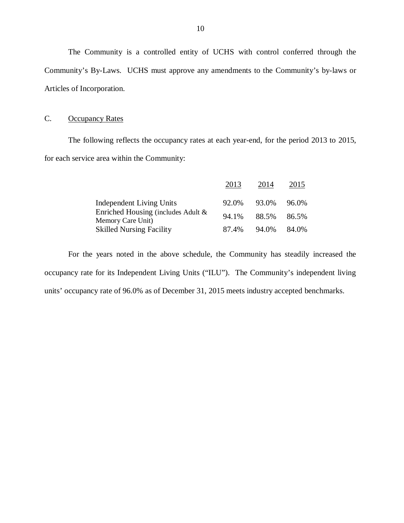The Community is a controlled entity of UCHS with control conferred through the Community's By-Laws. UCHS must approve any amendments to the Community's by-laws or Articles of Incorporation.

#### C. Occupancy Rates

 The following reflects the occupancy rates at each year-end, for the period 2013 to 2015, for each service area within the Community:

|                                                         | 2013  | 2014  | 2015  |
|---------------------------------------------------------|-------|-------|-------|
| <b>Independent Living Units</b>                         | 92.0% | 93.0% | 96.0% |
| Enriched Housing (includes Adult &<br>Memory Care Unit) | 94.1% | 88.5% | 86.5% |
| <b>Skilled Nursing Facility</b>                         | 87.4% | 94.0% | 84.0% |

 For the years noted in the above schedule, the Community has steadily increased the occupancy rate for its Independent Living Units ("ILU"). The Community's independent living units' occupancy rate of 96.0% as of December 31, 2015 meets industry accepted benchmarks.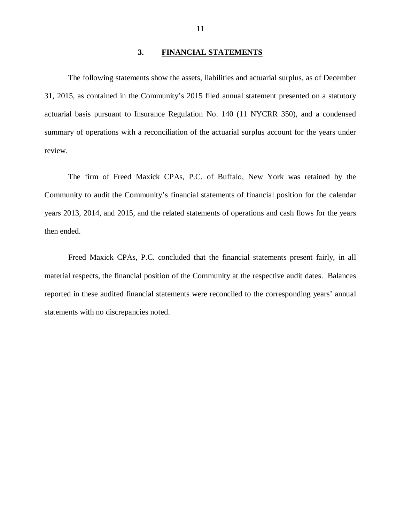#### **3. FINANCIAL STATEMENTS**

 The following statements show the assets, liabilities and actuarial surplus, as of December 31, 2015, as contained in the Community's 2015 filed annual statement presented on a statutory actuarial basis pursuant to Insurance Regulation No. 140 (11 NYCRR 350), and a condensed summary of operations with a reconciliation of the actuarial surplus account for the years under review.

 The firm of Freed Maxick CPAs, P.C. of Buffalo, New York was retained by the Community to audit the Community's financial statements of financial position for the calendar years 2013, 2014, and 2015, and the related statements of operations and cash flows for the years then ended.

 Freed Maxick CPAs, P.C. concluded that the financial statements present fairly, in all material respects, the financial position of the Community at the respective audit dates. Balances reported in these audited financial statements were reconciled to the corresponding years' annual statements with no discrepancies noted.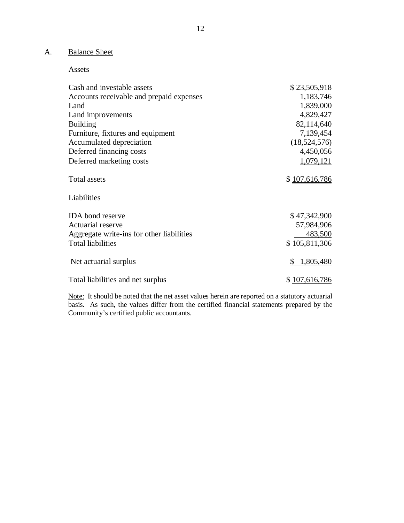#### A. Balance Sheet

#### Assets

| Cash and investable assets                | \$23,505,918    |
|-------------------------------------------|-----------------|
| Accounts receivable and prepaid expenses  | 1,183,746       |
| Land                                      | 1,839,000       |
| Land improvements                         | 4,829,427       |
| <b>Building</b>                           | 82,114,640      |
| Furniture, fixtures and equipment         | 7,139,454       |
| Accumulated depreciation                  | (18, 524, 576)  |
| Deferred financing costs                  | 4,450,056       |
| Deferred marketing costs                  | 1,079,121       |
| Total assets                              | \$107,616,786   |
| Liabilities                               |                 |
| <b>IDA</b> bond reserve                   | \$47,342,900    |
| Actuarial reserve                         | 57,984,906      |
| Aggregate write-ins for other liabilities | 483,500         |
| <b>Total liabilities</b>                  | \$105,811,306   |
| Net actuarial surplus                     | 1,805,480<br>S. |
| Total liabilities and net surplus         | \$107,616,786   |

Note: It should be noted that the net asset values herein are reported on a statutory actuarial basis. As such, the values differ from the certified financial statements prepared by the Community's certified public accountants.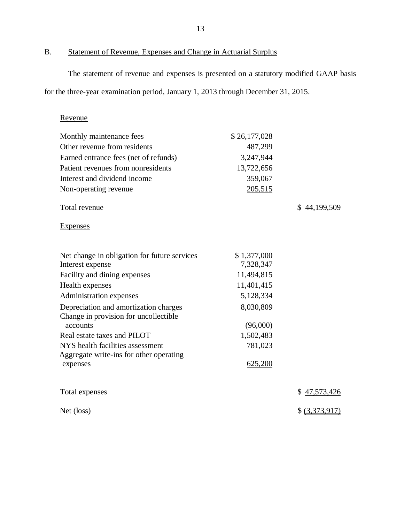B. Statement of Revenue, Expenses and Change in Actuarial Surplus

 The statement of revenue and expenses is presented on a statutory modified GAAP basis for the three-year examination period, January 1, 2013 through December 31, 2015.

## Revenue

| Monthly maintenance fees                     | \$26,177,028 |                |
|----------------------------------------------|--------------|----------------|
| Other revenue from residents                 | 487,299      |                |
| Earned entrance fees (net of refunds)        | 3,247,944    |                |
| Patient revenues from nonresidents           | 13,722,656   |                |
| Interest and dividend income                 | 359,067      |                |
| Non-operating revenue                        | 205,515      |                |
| Total revenue                                |              | \$44,199,509   |
| <b>Expenses</b>                              |              |                |
|                                              |              |                |
| Net change in obligation for future services | \$1,377,000  |                |
| Interest expense                             | 7,328,347    |                |
| Facility and dining expenses                 | 11,494,815   |                |
| Health expenses                              | 11,401,415   |                |
| Administration expenses                      | 5,128,334    |                |
| Depreciation and amortization charges        | 8,030,809    |                |
| Change in provision for uncollectible        |              |                |
| accounts                                     | (96,000)     |                |
| Real estate taxes and PILOT                  | 1,502,483    |                |
| NYS health facilities assessment             | 781,023      |                |
| Aggregate write-ins for other operating      |              |                |
| expenses                                     | 625,200      |                |
| Total expenses                               |              | \$47,573,426   |
| Net (loss)                                   |              | \$ (3,373,917) |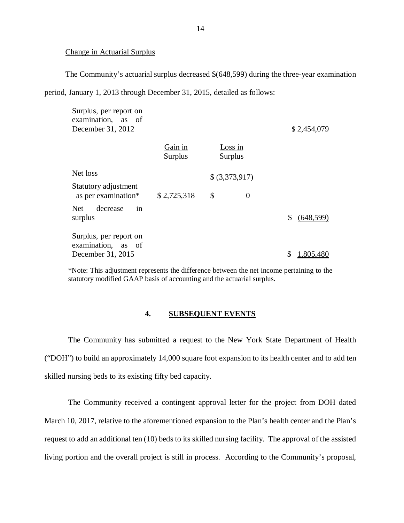#### Change in Actuarial Surplus

The Community's actuarial surplus decreased \$(648,599) during the three-year examination

period, January 1, 2013 through December 31, 2015, detailed as follows:

| Surplus, per report on<br>examination, as of<br>December 31, 2012 |                           |                           | \$2,454,079      |
|-------------------------------------------------------------------|---------------------------|---------------------------|------------------|
|                                                                   | Gain in<br><b>Surplus</b> | Loss in<br><b>Surplus</b> |                  |
| Net loss                                                          |                           | \$ (3,373,917)            |                  |
| Statutory adjustment<br>as per examination*                       | \$2,725,318               | \$<br>$\theta$            |                  |
| decrease<br>Net.<br>in<br>surplus                                 |                           |                           | \$<br>(648, 599) |
| Surplus, per report on<br>examination, as of<br>December 31, 2015 |                           |                           | \$<br>1,805,480  |

 \*Note: This adjustment represents the difference between the net income pertaining to the statutory modified GAAP basis of accounting and the actuarial surplus.

#### **4. SUBSEQUENT EVENTS**

 The Community has submitted a request to the New York State Department of Health ("DOH") to build an approximately 14,000 square foot expansion to its health center and to add ten skilled nursing beds to its existing fifty bed capacity.

 The Community received a contingent approval letter for the project from DOH dated March 10, 2017, relative to the aforementioned expansion to the Plan's health center and the Plan's request to add an additional ten (10) beds to its skilled nursing facility. The approval of the assisted living portion and the overall project is still in process. According to the Community's proposal,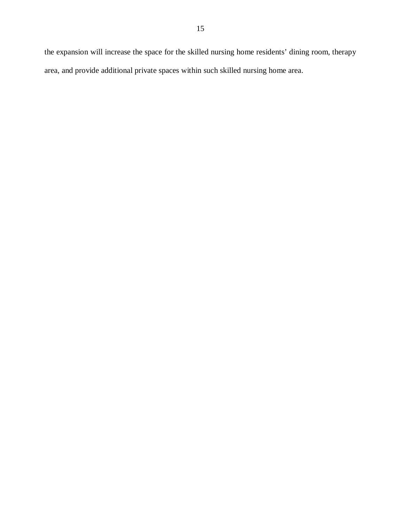the expansion will increase the space for the skilled nursing home residents' dining room, therapy area, and provide additional private spaces within such skilled nursing home area.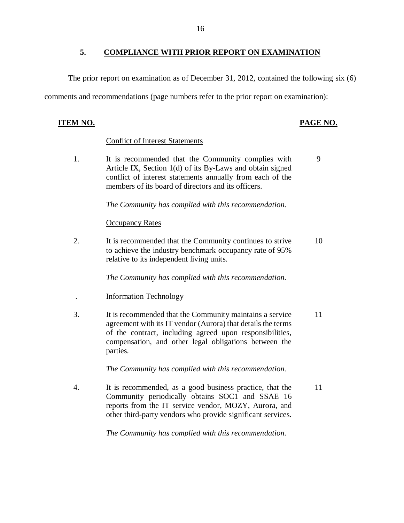#### **5. COMPLIANCE WITH PRIOR REPORT ON EXAMINATION**

The prior report on examination as of December 31, 2012, contained the following six (6)

comments and recommendations (page numbers refer to the prior report on examination):

## **ITEM NO.**

## **PAGE NO.**

#### Conflict of Interest Statements

 $1<sub>1</sub>$  Article IX, Section 1(d) of its By-Laws and obtain signed conflict of interest statements annually from each of the members of its board of directors and its officers. It is recommended that the Community complies with 9

 *The Community has complied with this recommendation.* 

### **Occupancy Rates**

 $\overline{2}$ . to achieve the industry benchmark occupancy rate of 95% relative to its independent living units. It is recommended that the Community continues to strive 10

 *The Community has complied with this recommendation.* 

- . **Information Technology**
- $\overline{3}$ . agreement with its IT vendor (Aurora) that details the terms of the contract, including agreed upon responsibilities, compensation, and other legal obligations between the It is recommended that the Community maintains a service 11 parties.

 *The Community has complied with this recommendation.* 

 $\mathbf{4}$ . Community periodically obtains SOC1 and SSAE 16 reports from the IT service vendor, MOZY, Aurora, and other third-party vendors who provide significant services. It is recommended, as a good business practice, that the 11

 *The Community has complied with this recommendation.*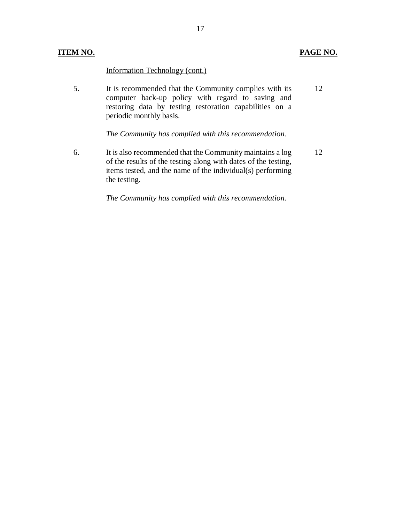#### **ITEM NO. PAGE NO.**

### Information Technology (cont.)

5. computer back-up policy with regard to saving and restoring data by testing restoration capabilities on a periodic monthly basis. It is recommended that the Community complies with its 12

 *The Community has complied with this recommendation.* 

6. of the results of the testing along with dates of the testing, items tested, and the name of the individual(s) performing the testing. It is also recommended that the Community maintains a log 12

 *The Community has complied with this recommendation.*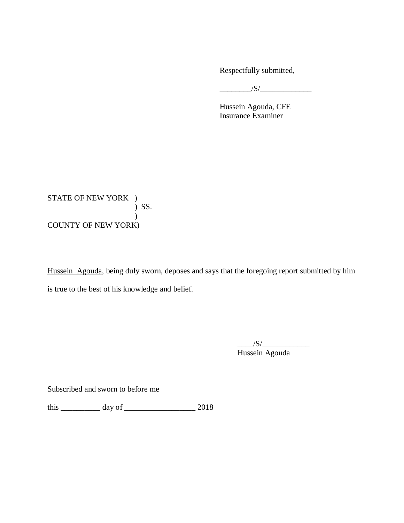Respectfully submitted,

 $/S/$ 

 Hussein Agouda, CFE Insurance Examiner

 STATE OF NEW YORK ) COUNTY OF NEW YORK) ) SS.  $\mathcal{L}$ 

Hussein Agouda, being duly sworn, deposes and says that the foregoing report submitted by him is true to the best of his knowledge and belief.

> $\frac{1}{\sqrt{S}}$ Hussein Agouda

Subscribed and sworn to before me

this \_\_\_\_\_\_\_\_\_\_ day of \_\_\_\_\_\_\_\_\_\_\_\_\_\_\_\_\_\_ 2018